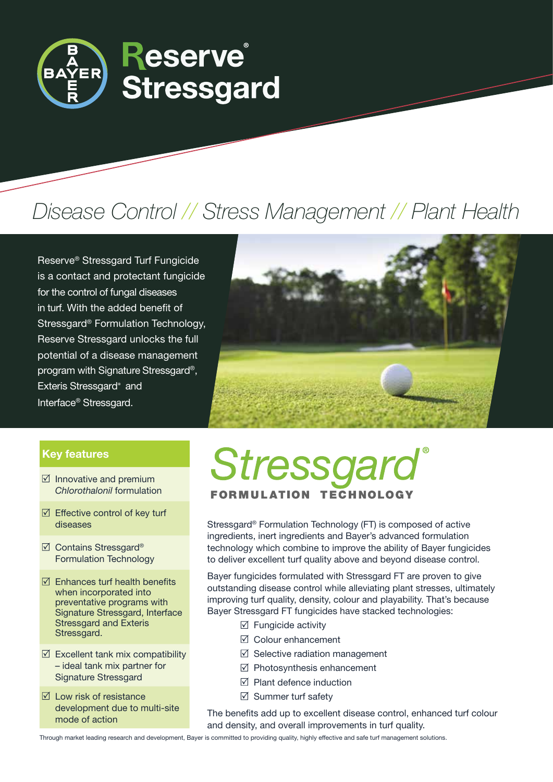

# Disease Control // Stress Management // Plant Health

Reserve*®* Stressgard Turf Fungicide is a contact and protectant fungicide for the control of fungal diseases in turf. With the added benefit of Stressgard® Formulation Technology, Reserve Stressgard unlocks the full potential of a disease management program with Signature Stressgard®, Exteris Stressgard® and Interface® Stressgard.



### Key features

- $\boxtimes$  Innovative and premium *Chlorothalonil* formulation
- $\boxtimes$  Effective control of key turf diseases
- **☑** Contains Stressgard<sup>®</sup> Formulation Technology
- $\boxtimes$  Enhances turf health benefits when incorporated into preventative programs with Signature Stressgard, Interface Stressgard and Exteris Stressgard.
- $\boxtimes$  Excellent tank mix compatibility – ideal tank mix partner for Signature Stressgard
- $\boxtimes$  Low risk of resistance development due to multi-site mode of action

# Stressgard **FORMULATION TECHNOLOGY**

Stressgard® Formulation Technology (FT) is composed of active ingredients, inert ingredients and Bayer's advanced formulation technology which combine to improve the ability of Bayer fungicides to deliver excellent turf quality above and beyond disease control.

Bayer fungicides formulated with Stressgard FT are proven to give outstanding disease control while alleviating plant stresses, ultimately improving turf quality, density, colour and playability. That's because Bayer Stressgard FT fungicides have stacked technologies:

- $\boxtimes$  Fungicide activity
- $\triangledown$  Colour enhancement
- $\boxtimes$  Selective radiation management
- $\boxtimes$  Photosynthesis enhancement
- $\boxtimes$  Plant defence induction
- $\boxtimes$  Summer turf safety

The benefits add up to excellent disease control, enhanced turf colour and density, and overall improvements in turf quality.

Through market leading research and development, Bayer is committed to providing quality, highly effective and safe turf management solutions.